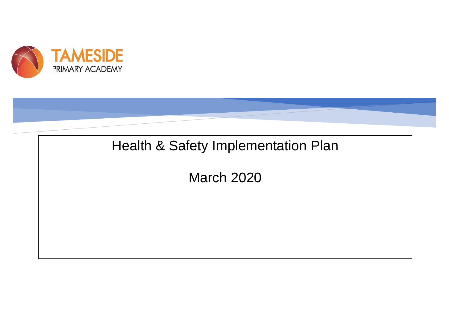



H&S POLICY FOR HOLYHEAD PRIMARY ACADEMY

March 2020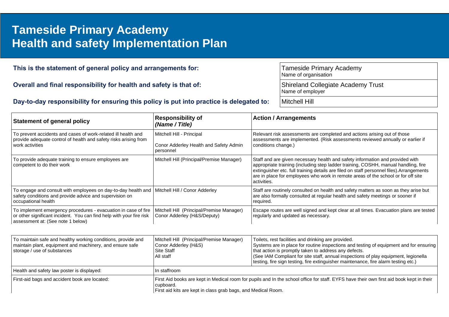## **Health and safety Implementation Plan** and the document or use this space to emphasize a key point. To place thi **Tameside Primary Academy**

| This is the statement of general policy and arrangements for:<br>Overall and final responsibility for health and safety is that of: |                                            |  | <b>Tameside Primary Academy</b><br>Name of organisation                                                                                                    |  |  |
|-------------------------------------------------------------------------------------------------------------------------------------|--------------------------------------------|--|------------------------------------------------------------------------------------------------------------------------------------------------------------|--|--|
|                                                                                                                                     |                                            |  | <b>Shireland Collegiate Academy Trust</b><br>Name of employer                                                                                              |  |  |
| Day-to-day responsibility for ensuring this policy is put into practice is delegated to:                                            |                                            |  | Mitchell Hill                                                                                                                                              |  |  |
| Statement of general policy                                                                                                         | <b>Responsibility of</b><br>(Name / Title) |  | <b>Action / Arrangements</b>                                                                                                                               |  |  |
| To prevent accidents and cases of work-related ill health and<br>provide adequate control of health and safety risks arising from   | Mitchell Hill - Principal                  |  | Relevant risk assessments are completed and actions arising out of those<br>assessments are implemented. (Risk assessments reviewed annually or earlier if |  |  |

| work activities                                                                                                                                                             | Conor Adderley Health and Safety Admin<br>personnel                      | conditions change.)                                                                                                                                                                                                                                                                                                                                                  |
|-----------------------------------------------------------------------------------------------------------------------------------------------------------------------------|--------------------------------------------------------------------------|----------------------------------------------------------------------------------------------------------------------------------------------------------------------------------------------------------------------------------------------------------------------------------------------------------------------------------------------------------------------|
| To provide adequate training to ensure employees are<br>competent to do their work                                                                                          | Mitchell Hill (Principal/Premise Manager)                                | Staff and are given necessary health and safety information and provided with<br>appropriate training (including step ladder training, COSHH, manual handling, fire<br>extinguisher etc. full training details are filed on staff personnel files). Arrangements<br>are in place for employees who work in remote areas of the school or for off site<br>activities. |
| To engage and consult with employees on day-to-day health and<br>safety conditions and provide advice and supervision on<br>occupational health                             | Mitchell Hill / Conor Adderley                                           | Staff are routinely consulted on health and safety matters as soon as they arise but<br>are also formally consulted at regular health and safety meetings or sooner if<br>required.                                                                                                                                                                                  |
| To implement emergency procedures - evacuation in case of fire<br>or other significant incident. You can find help with your fire risk<br>assessment at: (See note 1 below) | Mitchell Hill (Principal/Premise Manager)<br>Conor Adderley (H&S/Deputy) | Escape routes are well signed and kept clear at all times. Evacuation plans are tested<br>regularly and updated as necessary.                                                                                                                                                                                                                                        |

| To maintain safe and healthy working conditions, provide and<br>maintain plant, equipment and machinery, and ensure safe<br>storage / use of substances | Mitchell Hill (Principal/Premise Manager)<br>Conor Adderley (H&S)<br>l Site Staff<br>All staff                                                                                                                         | Toilets, rest facilities and drinking are provided.<br>Systems are in place for routine inspections and testing of equipment and for ensuring<br>that action is promptly taken to address any defects.<br>(See IAM Compliant for site staff, annual inspections of play equipment, legionella<br>testing, fire sign testing, fire extinguisher maintenance, fire alarm testing etc.) |  |  |
|---------------------------------------------------------------------------------------------------------------------------------------------------------|------------------------------------------------------------------------------------------------------------------------------------------------------------------------------------------------------------------------|--------------------------------------------------------------------------------------------------------------------------------------------------------------------------------------------------------------------------------------------------------------------------------------------------------------------------------------------------------------------------------------|--|--|
| Health and safety law poster is displayed:                                                                                                              | In staffroom                                                                                                                                                                                                           |                                                                                                                                                                                                                                                                                                                                                                                      |  |  |
| First-aid bags and accident book are located:                                                                                                           | First Aid books are kept in Medical room for pupils and In the school office for staff. EYFS have their own first aid book kept in their<br>cupboard.<br>First aid kits are kept in class grab bags, and Medical Room. |                                                                                                                                                                                                                                                                                                                                                                                      |  |  |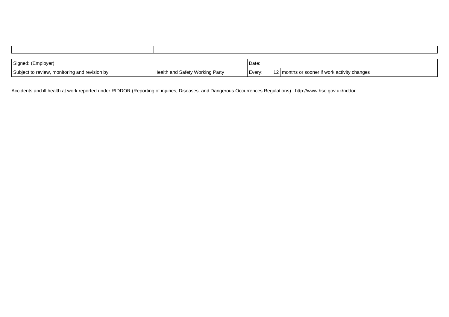| Signed: (Employer)                             |                                 | Date:  |                                                                |
|------------------------------------------------|---------------------------------|--------|----------------------------------------------------------------|
| Subject to review, monitoring and revision by: | Health and Safety Working Party | Every: | $\overline{10}$<br>I months or sooner if work activity changes |

Accidents and ill health at work reported under RIDDOR (Reporting of injuries, Diseases, and Dangerous Occurrences Regulations) http://www.hse.gov.uk/riddor